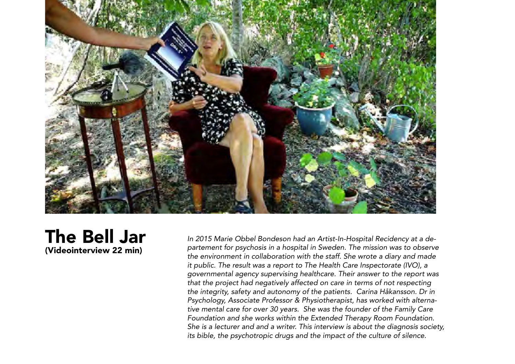

The Bell Jar (Videointerview 22 min)

*In 2015 Marie Obbel Bondeson had an Artist-In-Hospital Recidency at a departement for psychosis in a hospital in Sweden. The mission was to observe the environment in collaboration with the staff. She wrote a diary and made it public. The result was a report to The Health Care Inspectorate (IVO), a governmental agency supervising healthcare. Their answer to the report was that the project had negatively affected on care in terms of not respecting the integrity, safety and autonomy of the patients. Carina Håkansson. Dr in Psychology, Associate Professor & Physiotherapist, has worked with alternative mental care for over 30 years. She was the founder of the Family Care Foundation and she works within the Extended Therapy Room Foundation. She is a lecturer and and a writer. This interview is about the diagnosis society, its bible, the psychotropic drugs and the impact of the culture of silence.*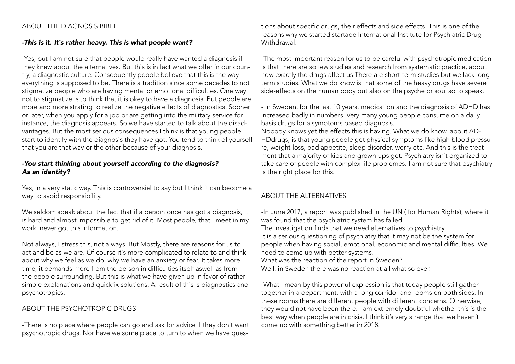## ABOUT THE DIAGNOSIS BIBEL

# *-This is it. It´s rather heavy. This is what people want?*

-Yes, but I am not sure that people would really have wanted a diagnosis if they knew about the alternatives. But this is in fact what we offer in our country, a diagnostic culture. Consequently people believe that this is the way everything is supposed to be. There is a tradition since some decades to not stigmatize people who are having mental or emotional difficulties. One way not to stigmatize is to think that it is okey to have a diagnosis. But people are more and more strating to realize the negative effects of diagnostics. Sooner or later, when you apply for a job or are getting into the military service for instance, the diagnosis appears. So we have started to talk about the disadvantages. But the most serious consequences I think is that young people start to identify with the diagnosis they have got. You tend to think of yourself that you are that way or the other because of your diagnosis.

## *-You start thinking about yourself according to the diagnosis? As an identity?*

Yes, in a very static way. This is controversiel to say but I think it can become a way to avoid responsibility.

We seldom speak about the fact that if a person once has got a diagnosis, it is hard and almost impossible to get rid of it. Most people, that I meet in my work, never got this information.

Not always, I stress this, not always. But Mostly, there are reasons for us to act and be as we are. Of course it´s more complicated to relate to and think about why we feel as we do, why we have an anxiety or fear. It takes more time, it demands more from the person in difficulties itself aswell as from the people surrounding. But this is what we have given up in favor of rather simple explanations and quickfix solutions. A result of this is diagnostics and psychotropics.

# ABOUT THE PSYCHOTROPIC DRUGS

-There is no place where people can go and ask for advice if they don´t want psychotropic drugs. Nor have we some place to turn to when we have questions about specific drugs, their effects and side effects. This is one of the reasons why we started startade International Institute for Psychiatric Drug **Withdrawal** 

-The most important reason for us to be careful with psychotropic medication is that there are so few studies and research from systematic practice, about how exactly the drugs affect us.There are short-term studies but we lack long term studies. What we do know is that some of the heavy drugs have severe side-effects on the human body but also on the psyche or soul so to speak.

- In Sweden, for the last 10 years, medication and the diagnosis of ADHD has increased badly in numbers. Very many young people consume on a daily basis drugs for a symptoms based diagnosis.

Nobody knows yet the effects this is having. What we do know, about AD-HDdrugs, is that young people get physical symptoms like high blood pressure, weight loss, bad appetite, sleep disorder, worry etc. And this is the treatment that a majority of kids and grown-ups get. Psychiatry isn´t organized to take care of people with complex life problemes. I am not sure that psychiatry is the right place for this.

# ABOUT THE ALTERNATIVES

-In June 2017, a report was published in the UN ( for Human Rights), where it was found that the psychiatric system has failed.

The investigation finds that we need alternatives to psychiatry. It is a serious questioning of psychiatry that it may not be the system for people when having social, emotional, economic and mental difficulties. We need to come up with better systems.

What was the reaction of the report in Sweden?

Well, in Sweden there was no reaction at all what so ever.

-What I mean by this powerful expression is that today people still gather together in a department, with a long corridor and rooms on both sides. In these rooms there are different people with different concerns. Otherwise, they would not have been there. I am extremely doubtful whether this is the best way when people are in crisis. I think it's very strange that we haven´t come up with something better in 2018.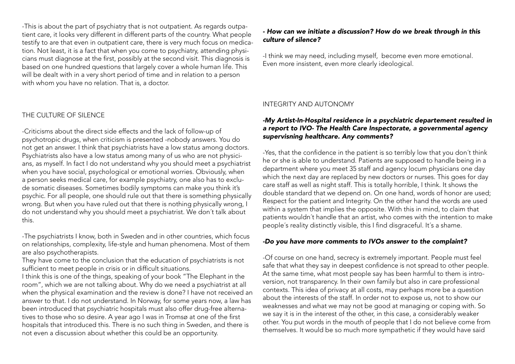-This is about the part of psychiatry that is not outpatient. As regards outpatient care, it looks very different in different parts of the country. What people testify to are that even in outpatient care, there is very much focus on medication. Not least, it is a fact that when you come to psychiatry, attending physicians must diagnose at the first, possibly at the second visit. This diagnosis is based on one hundred questions that largely cover a whole human life. This will be dealt with in a very short period of time and in relation to a person with whom you have no relation. That is, a doctor.

# THE CULTURE OF SILENCE

-Criticisms about the direct side effects and the lack of follow-up of psychotropic drugs, when criticism is presented -nobody answers. You do not get an answer. I think that psychiatrists have a low status among doctors. Psychiatrists also have a low status among many of us who are not physicians, as myself. In fact I do not understand why you should meet a psychiatrist when you have social, psychological or emotional worries. Obviously, when a person seeks medical care, for example psychiatry, one also has to exclude somatic diseases. Sometimes bodily symptoms can make you think it's psychic. For all people, one should rule out that there is something physically wrong. But when you have ruled out that there is nothing physically wrong, I do not understand why you should meet a psychiatrist. We don´t talk about this.

-The psychiatrists I know, both in Sweden and in other countries, which focus on relationships, complexity, life-style and human phenomena. Most of them are also psychotherapists.

They have come to the conclusion that the education of psychiatrists is not sufficient to meet people in crisis or in difficult situations.

I think this is one of the things, speaking of your book "The Elephant in the room", which we are not talking about. Why do we need a psychiatrist at all when the physical examination and the review is done? I have not received an answer to that. I do not understand. In Norway, for some years now, a law has been introduced that psychiatric hospitals must also offer drug-free alternatives to those who so desire. A year ago I was in Tromsø at one of the first hospitals that introduced this. There is no such thing in Sweden, and there is not even a discussion about whether this could be an opportunity.

#### *- How can we initiate a discussion? How do we break through in this culture of silence?*

-I think we may need, including myself, become even more emotional. Even more insistent, even more clearly ideological.

### INTEGRITY AND AUTONOMY

### *-My Artist-In-Hospital residence in a psychiatric departement resulted in a report to IVO- The Health Care Inspectorate, a governmental agency supervisning healthcare. Any comments?*

-Yes, that the confidence in the patient is so terribly low that you don´t think he or she is able to understand. Patients are supposed to handle being in a department where you meet 35 staff and agency locum physicians one day which the next day are replaced by new doctors or nurses. This goes for day care staff as well as night staff. This is totally horrible, I think. It shows the double standard that we depend on. On one hand, words of honor are used; Respect for the patient and Integrity. On the other hand the words are used within a system that implies the opposite. With this in mind, to claim that patients wouldn´t handle that an artist, who comes with the intention to make people´s reality distinctly visible, this I find disgraceful. It´s a shame.

### *-Do you have more comments to IVOs answer to the complaint?*

-Of course on one hand, secrecy is extremely important. People must feel safe that what they say in deepest confidence is not spread to other people. At the same time, what most people say has been harmful to them is introversion, not transparency. In their own family but also in care professional contexts. This idea of privacy at all costs, may perhaps more be a question about the interests of the staff. In order not to expose us, not to show our weaknesses and what we may not be good at managing or coping with. So we say it is in the interest of the other, in this case, a considerably weaker other. You put words in the mouth of people that I do not believe come from themselves. It would be so much more sympathetic if they would have said